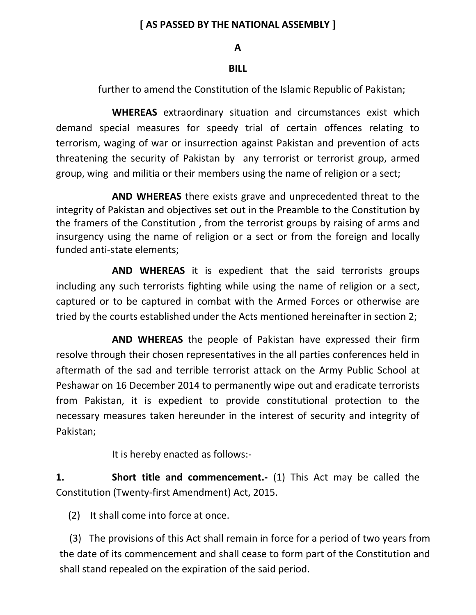### **[ AS PASSED BY THE NATIONAL ASSEMBLY ]**

#### **A**

### **BILL**

further to amend the Constitution of the Islamic Republic of Pakistan;

**WHEREAS** extraordinary situation and circumstances exist which demand special measures for speedy trial of certain offences relating to terrorism, waging of war or insurrection against Pakistan and prevention of acts threatening the security of Pakistan by any terrorist or terrorist group, armed group, wing and militia or their members using the name of religion or a sect;

**AND WHEREAS** there exists grave and unprecedented threat to the integrity of Pakistan and objectives set out in the Preamble to the Constitution by the framers of the Constitution , from the terrorist groups by raising of arms and insurgency using the name of religion or a sect or from the foreign and locally funded anti-state elements;

**AND WHEREAS** it is expedient that the said terrorists groups including any such terrorists fighting while using the name of religion or a sect, captured or to be captured in combat with the Armed Forces or otherwise are tried by the courts established under the Acts mentioned hereinafter in section 2;

**AND WHEREAS** the people of Pakistan have expressed their firm resolve through their chosen representatives in the all parties conferences held in aftermath of the sad and terrible terrorist attack on the Army Public School at Peshawar on 16 December 2014 to permanently wipe out and eradicate terrorists from Pakistan, it is expedient to provide constitutional protection to the necessary measures taken hereunder in the interest of security and integrity of Pakistan;

It is hereby enacted as follows:-

**1. Short title and commencement.-** (1) This Act may be called the Constitution (Twenty-first Amendment) Act, 2015.

(2) It shall come into force at once.

 (3) The provisions of this Act shall remain in force for a period of two years from the date of its commencement and shall cease to form part of the Constitution and shall stand repealed on the expiration of the said period.